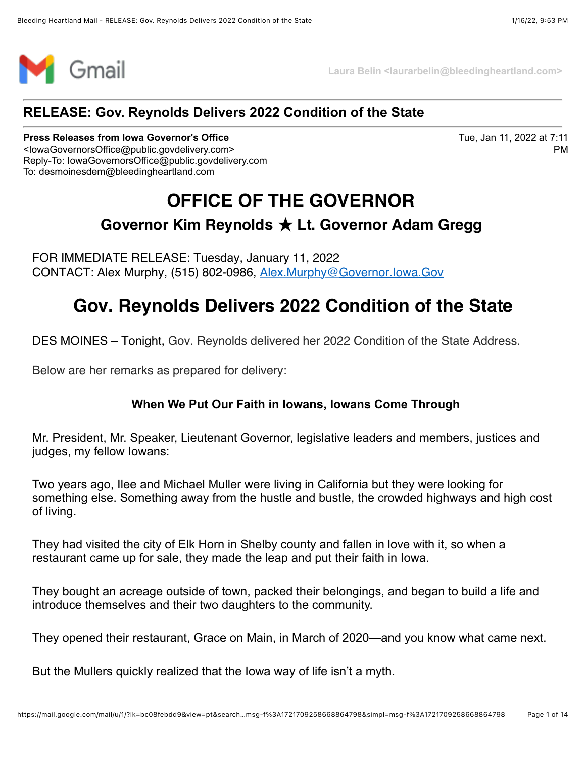

**Laura Belin <laurarbelin@bleedingheartland.com>**

### **RELEASE: Gov. Reynolds Delivers 2022 Condition of the State**

#### **Press Releases from Iowa Governor's Office**

Tue, Jan 11, 2022 at 7:11 PM

<IowaGovernorsOffice@public.govdelivery.com> Reply-To: IowaGovernorsOffice@public.govdelivery.com To: desmoinesdem@bleedingheartland.com

# **OFFICE OF THE GOVERNOR**

### **Governor Kim Reynolds** ̣ **Lt. Governor Adam Gregg**

FOR IMMEDIATE RELEASE: Tuesday, January 11, 2022 CONTACT: Alex Murphy, (515) 802-0986, [Alex.Murphy@Governor.Iowa.Gov](mailto:Alex.Murphy@Governor.Iowa.Gov)

## **Gov. Reynolds Delivers 2022 Condition of the State**

DES MOINES – Tonight, Gov. Reynolds delivered her 2022 Condition of the State Address.

Below are her remarks as prepared for delivery:

#### **When We Put Our Faith in Iowans, Iowans Come Through**

Mr. President, Mr. Speaker, Lieutenant Governor, legislative leaders and members, justices and judges, my fellow Iowans:

Two years ago, Ilee and Michael Muller were living in California but they were looking for something else. Something away from the hustle and bustle, the crowded highways and high cost of living.

They had visited the city of Elk Horn in Shelby county and fallen in love with it, so when a restaurant came up for sale, they made the leap and put their faith in Iowa.

They bought an acreage outside of town, packed their belongings, and began to build a life and introduce themselves and their two daughters to the community.

They opened their restaurant, Grace on Main, in March of 2020—and you know what came next.

But the Mullers quickly realized that the Iowa way of life isn't a myth.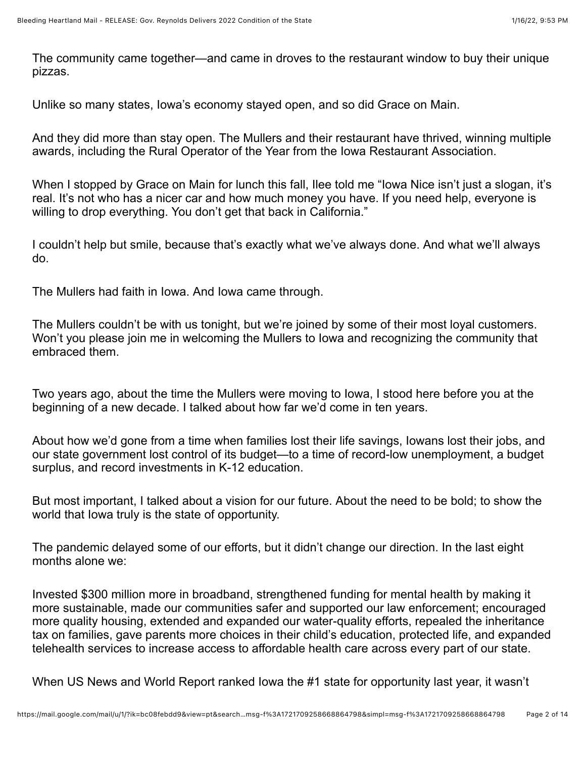The community came together—and came in droves to the restaurant window to buy their unique pizzas.

Unlike so many states, Iowa's economy stayed open, and so did Grace on Main.

And they did more than stay open. The Mullers and their restaurant have thrived, winning multiple awards, including the Rural Operator of the Year from the Iowa Restaurant Association.

When I stopped by Grace on Main for lunch this fall, Ilee told me "Iowa Nice isn't just a slogan, it's real. It's not who has a nicer car and how much money you have. If you need help, everyone is willing to drop everything. You don't get that back in California."

I couldn't help but smile, because that's exactly what we've always done. And what we'll always do.

The Mullers had faith in Iowa. And Iowa came through.

The Mullers couldn't be with us tonight, but we're joined by some of their most loyal customers. Won't you please join me in welcoming the Mullers to Iowa and recognizing the community that embraced them.

Two years ago, about the time the Mullers were moving to Iowa, I stood here before you at the beginning of a new decade. I talked about how far we'd come in ten years.

About how we'd gone from a time when families lost their life savings, Iowans lost their jobs, and our state government lost control of its budget—to a time of record-low unemployment, a budget surplus, and record investments in K-12 education.

But most important, I talked about a vision for our future. About the need to be bold; to show the world that Iowa truly is the state of opportunity.

The pandemic delayed some of our efforts, but it didn't change our direction. In the last eight months alone we:

Invested \$300 million more in broadband, strengthened funding for mental health by making it more sustainable, made our communities safer and supported our law enforcement; encouraged more quality housing, extended and expanded our water-quality efforts, repealed the inheritance tax on families, gave parents more choices in their child's education, protected life, and expanded telehealth services to increase access to affordable health care across every part of our state.

When US News and World Report ranked Iowa the #1 state for opportunity last year, it wasn't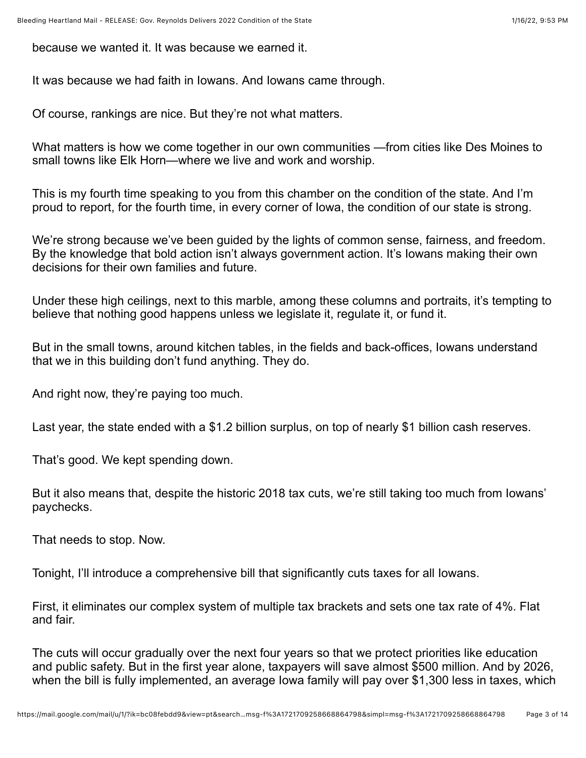because we wanted it. It was because we earned it.

It was because we had faith in Iowans. And Iowans came through.

Of course, rankings are nice. But they're not what matters.

What matters is how we come together in our own communities —from cities like Des Moines to small towns like Elk Horn—where we live and work and worship.

This is my fourth time speaking to you from this chamber on the condition of the state. And I'm proud to report, for the fourth time, in every corner of Iowa, the condition of our state is strong.

We're strong because we've been guided by the lights of common sense, fairness, and freedom. By the knowledge that bold action isn't always government action. It's Iowans making their own decisions for their own families and future.

Under these high ceilings, next to this marble, among these columns and portraits, it's tempting to believe that nothing good happens unless we legislate it, regulate it, or fund it.

But in the small towns, around kitchen tables, in the fields and back-offices, Iowans understand that we in this building don't fund anything. They do.

And right now, they're paying too much.

Last year, the state ended with a \$1.2 billion surplus, on top of nearly \$1 billion cash reserves.

That's good. We kept spending down.

But it also means that, despite the historic 2018 tax cuts, we're still taking too much from Iowans' paychecks.

That needs to stop. Now.

Tonight, I'll introduce a comprehensive bill that significantly cuts taxes for all Iowans.

First, it eliminates our complex system of multiple tax brackets and sets one tax rate of 4%. Flat and fair.

The cuts will occur gradually over the next four years so that we protect priorities like education and public safety. But in the first year alone, taxpayers will save almost \$500 million. And by 2026, when the bill is fully implemented, an average Iowa family will pay over \$1,300 less in taxes, which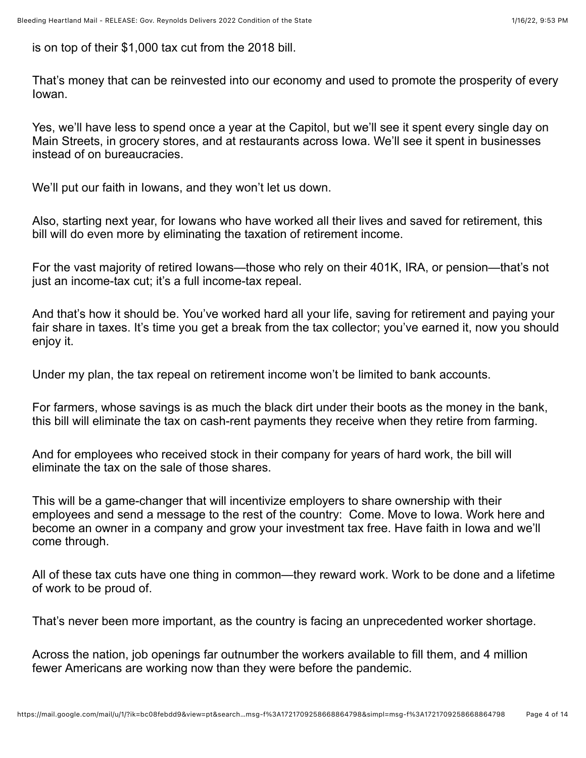is on top of their \$1,000 tax cut from the 2018 bill.

That's money that can be reinvested into our economy and used to promote the prosperity of every Iowan.

Yes, we'll have less to spend once a year at the Capitol, but we'll see it spent every single day on Main Streets, in grocery stores, and at restaurants across Iowa. We'll see it spent in businesses instead of on bureaucracies.

We'll put our faith in Iowans, and they won't let us down.

Also, starting next year, for Iowans who have worked all their lives and saved for retirement, this bill will do even more by eliminating the taxation of retirement income.

For the vast majority of retired Iowans—those who rely on their 401K, IRA, or pension—that's not just an income-tax cut; it's a full income-tax repeal.

And that's how it should be. You've worked hard all your life, saving for retirement and paying your fair share in taxes. It's time you get a break from the tax collector; you've earned it, now you should enjoy it.

Under my plan, the tax repeal on retirement income won't be limited to bank accounts.

For farmers, whose savings is as much the black dirt under their boots as the money in the bank, this bill will eliminate the tax on cash-rent payments they receive when they retire from farming.

And for employees who received stock in their company for years of hard work, the bill will eliminate the tax on the sale of those shares.

This will be a game-changer that will incentivize employers to share ownership with their employees and send a message to the rest of the country: Come. Move to Iowa. Work here and become an owner in a company and grow your investment tax free. Have faith in Iowa and we'll come through.

All of these tax cuts have one thing in common—they reward work. Work to be done and a lifetime of work to be proud of.

That's never been more important, as the country is facing an unprecedented worker shortage.

Across the nation, job openings far outnumber the workers available to fill them, and 4 million fewer Americans are working now than they were before the pandemic.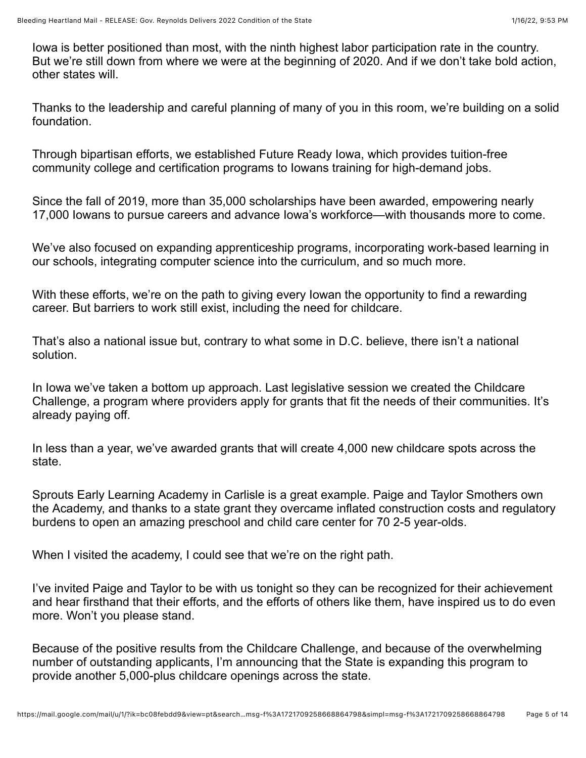Iowa is better positioned than most, with the ninth highest labor participation rate in the country. But we're still down from where we were at the beginning of 2020. And if we don't take bold action, other states will.

Thanks to the leadership and careful planning of many of you in this room, we're building on a solid foundation.

Through bipartisan efforts, we established Future Ready Iowa, which provides tuition-free community college and certification programs to Iowans training for high-demand jobs.

Since the fall of 2019, more than 35,000 scholarships have been awarded, empowering nearly 17,000 Iowans to pursue careers and advance Iowa's workforce—with thousands more to come.

We've also focused on expanding apprenticeship programs, incorporating work-based learning in our schools, integrating computer science into the curriculum, and so much more.

With these efforts, we're on the path to giving every Iowan the opportunity to find a rewarding career. But barriers to work still exist, including the need for childcare.

That's also a national issue but, contrary to what some in D.C. believe, there isn't a national solution.

In Iowa we've taken a bottom up approach. Last legislative session we created the Childcare Challenge, a program where providers apply for grants that fit the needs of their communities. It's already paying off.

In less than a year, we've awarded grants that will create 4,000 new childcare spots across the state.

Sprouts Early Learning Academy in Carlisle is a great example. Paige and Taylor Smothers own the Academy, and thanks to a state grant they overcame inflated construction costs and regulatory burdens to open an amazing preschool and child care center for 70 2-5 year-olds.

When I visited the academy, I could see that we're on the right path.

I've invited Paige and Taylor to be with us tonight so they can be recognized for their achievement and hear firsthand that their efforts, and the efforts of others like them, have inspired us to do even more. Won't you please stand.

Because of the positive results from the Childcare Challenge, and because of the overwhelming number of outstanding applicants, I'm announcing that the State is expanding this program to provide another 5,000-plus childcare openings across the state.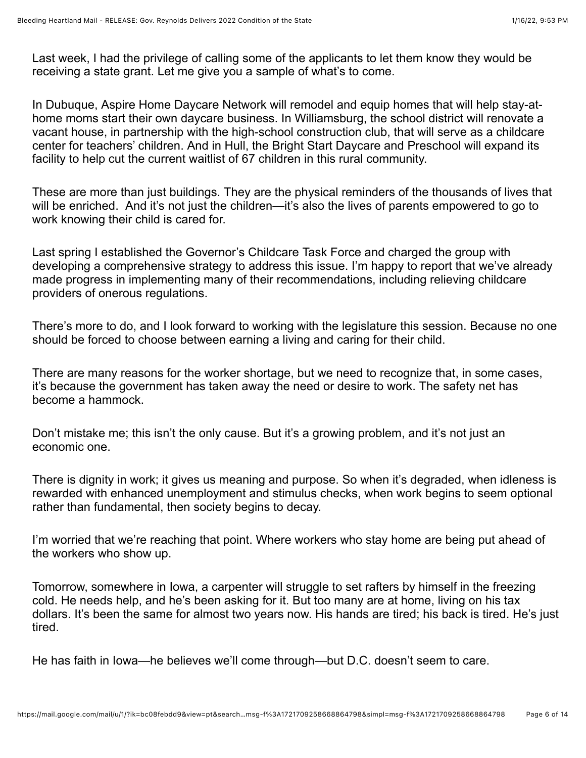Last week, I had the privilege of calling some of the applicants to let them know they would be receiving a state grant. Let me give you a sample of what's to come.

In Dubuque, Aspire Home Daycare Network will remodel and equip homes that will help stay-athome moms start their own daycare business. In Williamsburg, the school district will renovate a vacant house, in partnership with the high-school construction club, that will serve as a childcare center for teachers' children. And in Hull, the Bright Start Daycare and Preschool will expand its facility to help cut the current waitlist of 67 children in this rural community.

These are more than just buildings. They are the physical reminders of the thousands of lives that will be enriched. And it's not just the children—it's also the lives of parents empowered to go to work knowing their child is cared for.

Last spring I established the Governor's Childcare Task Force and charged the group with developing a comprehensive strategy to address this issue. I'm happy to report that we've already made progress in implementing many of their recommendations, including relieving childcare providers of onerous regulations.

There's more to do, and I look forward to working with the legislature this session. Because no one should be forced to choose between earning a living and caring for their child.

There are many reasons for the worker shortage, but we need to recognize that, in some cases, it's because the government has taken away the need or desire to work. The safety net has become a hammock.

Don't mistake me; this isn't the only cause. But it's a growing problem, and it's not just an economic one.

There is dignity in work; it gives us meaning and purpose. So when it's degraded, when idleness is rewarded with enhanced unemployment and stimulus checks, when work begins to seem optional rather than fundamental, then society begins to decay.

I'm worried that we're reaching that point. Where workers who stay home are being put ahead of the workers who show up.

Tomorrow, somewhere in Iowa, a carpenter will struggle to set rafters by himself in the freezing cold. He needs help, and he's been asking for it. But too many are at home, living on his tax dollars. It's been the same for almost two years now. His hands are tired; his back is tired. He's just tired.

He has faith in Iowa—he believes we'll come through—but D.C. doesn't seem to care.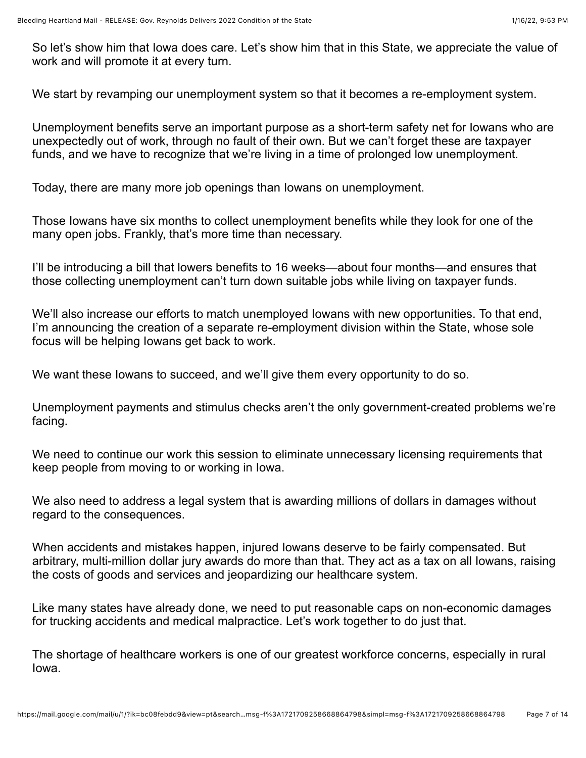So let's show him that Iowa does care. Let's show him that in this State, we appreciate the value of work and will promote it at every turn.

We start by revamping our unemployment system so that it becomes a re-employment system.

Unemployment benefits serve an important purpose as a short-term safety net for Iowans who are unexpectedly out of work, through no fault of their own. But we can't forget these are taxpayer funds, and we have to recognize that we're living in a time of prolonged low unemployment.

Today, there are many more job openings than Iowans on unemployment.

Those Iowans have six months to collect unemployment benefits while they look for one of the many open jobs. Frankly, that's more time than necessary.

I'll be introducing a bill that lowers benefits to 16 weeks—about four months—and ensures that those collecting unemployment can't turn down suitable jobs while living on taxpayer funds.

We'll also increase our efforts to match unemployed lowans with new opportunities. To that end, I'm announcing the creation of a separate re-employment division within the State, whose sole focus will be helping Iowans get back to work.

We want these lowans to succeed, and we'll give them every opportunity to do so.

Unemployment payments and stimulus checks aren't the only government-created problems we're facing.

We need to continue our work this session to eliminate unnecessary licensing requirements that keep people from moving to or working in Iowa.

We also need to address a legal system that is awarding millions of dollars in damages without regard to the consequences.

When accidents and mistakes happen, injured Iowans deserve to be fairly compensated. But arbitrary, multi-million dollar jury awards do more than that. They act as a tax on all Iowans, raising the costs of goods and services and jeopardizing our healthcare system.

Like many states have already done, we need to put reasonable caps on non-economic damages for trucking accidents and medical malpractice. Let's work together to do just that.

The shortage of healthcare workers is one of our greatest workforce concerns, especially in rural Iowa.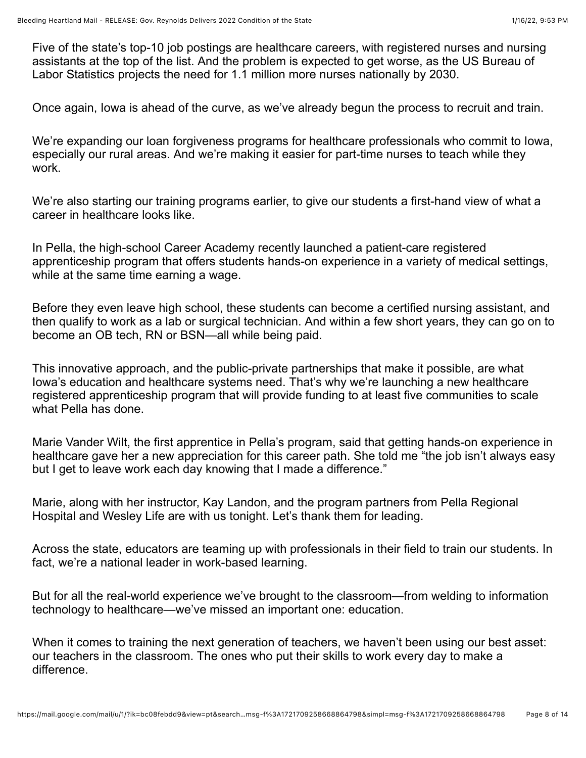Five of the state's top-10 job postings are healthcare careers, with registered nurses and nursing assistants at the top of the list. And the problem is expected to get worse, as the US Bureau of Labor Statistics projects the need for 1.1 million more nurses nationally by 2030.

Once again, Iowa is ahead of the curve, as we've already begun the process to recruit and train.

We're expanding our loan forgiveness programs for healthcare professionals who commit to Iowa, especially our rural areas. And we're making it easier for part-time nurses to teach while they work.

We're also starting our training programs earlier, to give our students a first-hand view of what a career in healthcare looks like.

In Pella, the high-school Career Academy recently launched a patient-care registered apprenticeship program that offers students hands-on experience in a variety of medical settings, while at the same time earning a wage.

Before they even leave high school, these students can become a certified nursing assistant, and then qualify to work as a lab or surgical technician. And within a few short years, they can go on to become an OB tech, RN or BSN—all while being paid.

This innovative approach, and the public-private partnerships that make it possible, are what Iowa's education and healthcare systems need. That's why we're launching a new healthcare registered apprenticeship program that will provide funding to at least five communities to scale what Pella has done.

Marie Vander Wilt, the first apprentice in Pella's program, said that getting hands-on experience in healthcare gave her a new appreciation for this career path. She told me "the job isn't always easy but I get to leave work each day knowing that I made a difference."

Marie, along with her instructor, Kay Landon, and the program partners from Pella Regional Hospital and Wesley Life are with us tonight. Let's thank them for leading.

Across the state, educators are teaming up with professionals in their field to train our students. In fact, we're a national leader in work-based learning.

But for all the real-world experience we've brought to the classroom—from welding to information technology to healthcare—we've missed an important one: education.

When it comes to training the next generation of teachers, we haven't been using our best asset: our teachers in the classroom. The ones who put their skills to work every day to make a difference.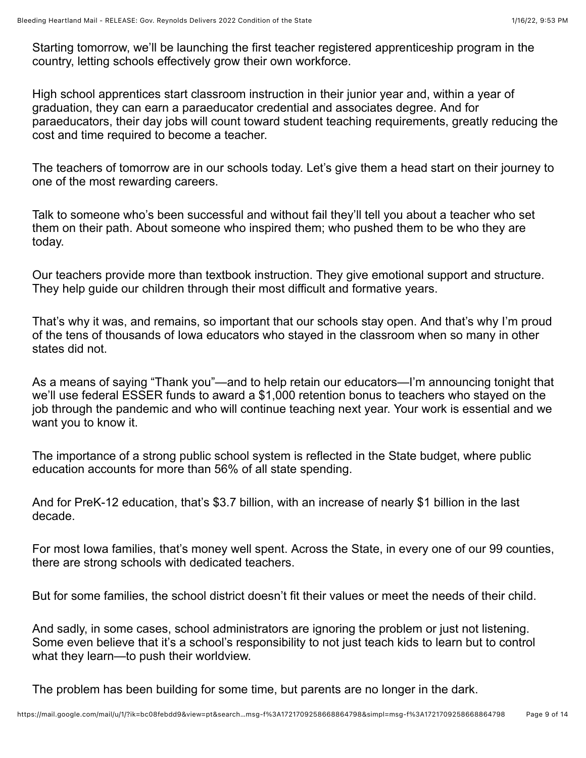Starting tomorrow, we'll be launching the first teacher registered apprenticeship program in the country, letting schools effectively grow their own workforce.

High school apprentices start classroom instruction in their junior year and, within a year of graduation, they can earn a paraeducator credential and associates degree. And for paraeducators, their day jobs will count toward student teaching requirements, greatly reducing the cost and time required to become a teacher.

The teachers of tomorrow are in our schools today. Let's give them a head start on their journey to one of the most rewarding careers.

Talk to someone who's been successful and without fail they'll tell you about a teacher who set them on their path. About someone who inspired them; who pushed them to be who they are today.

Our teachers provide more than textbook instruction. They give emotional support and structure. They help guide our children through their most difficult and formative years.

That's why it was, and remains, so important that our schools stay open. And that's why I'm proud of the tens of thousands of Iowa educators who stayed in the classroom when so many in other states did not.

As a means of saying "Thank you"—and to help retain our educators—I'm announcing tonight that we'll use federal ESSER funds to award a \$1,000 retention bonus to teachers who stayed on the job through the pandemic and who will continue teaching next year. Your work is essential and we want you to know it.

The importance of a strong public school system is reflected in the State budget, where public education accounts for more than 56% of all state spending.

And for PreK-12 education, that's \$3.7 billion, with an increase of nearly \$1 billion in the last decade.

For most Iowa families, that's money well spent. Across the State, in every one of our 99 counties, there are strong schools with dedicated teachers.

But for some families, the school district doesn't fit their values or meet the needs of their child.

And sadly, in some cases, school administrators are ignoring the problem or just not listening. Some even believe that it's a school's responsibility to not just teach kids to learn but to control what they learn—to push their worldview.

The problem has been building for some time, but parents are no longer in the dark.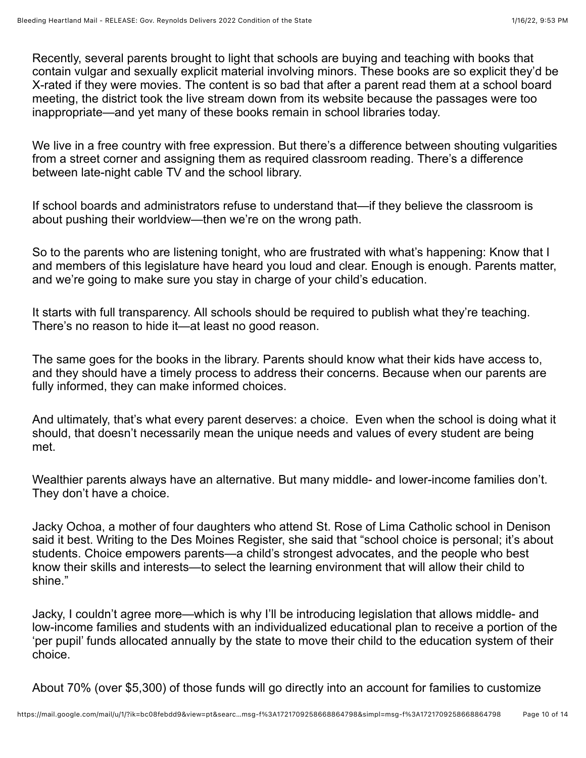Recently, several parents brought to light that schools are buying and teaching with books that contain vulgar and sexually explicit material involving minors. These books are so explicit they'd be X-rated if they were movies. The content is so bad that after a parent read them at a school board meeting, the district took the live stream down from its website because the passages were too inappropriate—and yet many of these books remain in school libraries today.

We live in a free country with free expression. But there's a difference between shouting vulgarities from a street corner and assigning them as required classroom reading. There's a difference between late-night cable TV and the school library.

If school boards and administrators refuse to understand that—if they believe the classroom is about pushing their worldview—then we're on the wrong path.

So to the parents who are listening tonight, who are frustrated with what's happening: Know that I and members of this legislature have heard you loud and clear. Enough is enough. Parents matter, and we're going to make sure you stay in charge of your child's education.

It starts with full transparency. All schools should be required to publish what they're teaching. There's no reason to hide it—at least no good reason.

The same goes for the books in the library. Parents should know what their kids have access to, and they should have a timely process to address their concerns. Because when our parents are fully informed, they can make informed choices.

And ultimately, that's what every parent deserves: a choice. Even when the school is doing what it should, that doesn't necessarily mean the unique needs and values of every student are being met.

Wealthier parents always have an alternative. But many middle- and lower-income families don't. They don't have a choice.

Jacky Ochoa, a mother of four daughters who attend St. Rose of Lima Catholic school in Denison said it best. Writing to the Des Moines Register, she said that "school choice is personal; it's about students. Choice empowers parents—a child's strongest advocates, and the people who best know their skills and interests—to select the learning environment that will allow their child to shine."

Jacky, I couldn't agree more—which is why I'll be introducing legislation that allows middle- and low-income families and students with an individualized educational plan to receive a portion of the 'per pupil' funds allocated annually by the state to move their child to the education system of their choice.

About 70% (over \$5,300) of those funds will go directly into an account for families to customize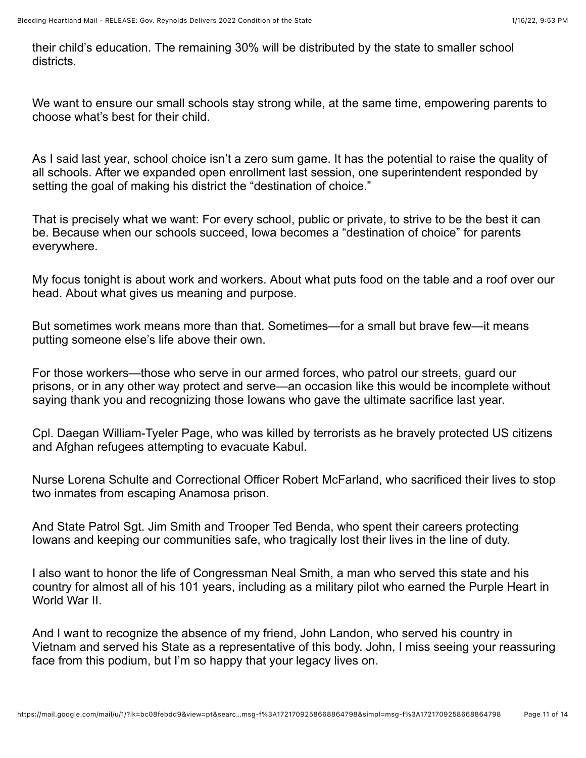their child's education. The remaining 30% will be distributed by the state to smaller school districts.

We want to ensure our small schools stay strong while, at the same time, empowering parents to choose what's best for their child.

As I said last year, school choice isn't a zero sum game. It has the potential to raise the quality of all schools. After we expanded open enrollment last session, one superintendent responded by setting the goal of making his district the "destination of choice."

That is precisely what we want: For every school, public or private, to strive to be the best it can be. Because when our schools succeed, Iowa becomes a "destination of choice" for parents everywhere.

My focus tonight is about work and workers. About what puts food on the table and a roof over our head. About what gives us meaning and purpose.

But sometimes work means more than that. Sometimes—for a small but brave few—it means putting someone else's life above their own.

For those workers—those who serve in our armed forces, who patrol our streets, guard our prisons, or in any other way protect and serve—an occasion like this would be incomplete without saying thank you and recognizing those Iowans who gave the ultimate sacrifice last year.

Cpl. Daegan William-Tyeler Page, who was killed by terrorists as he bravely protected US citizens and Afghan refugees attempting to evacuate Kabul.

Nurse Lorena Schulte and Correctional Officer Robert McFarland, who sacrificed their lives to stop two inmates from escaping Anamosa prison.

And State Patrol Sgt. Jim Smith and Trooper Ted Benda, who spent their careers protecting Iowans and keeping our communities safe, who tragically lost their lives in the line of duty.

I also want to honor the life of Congressman Neal Smith, a man who served this state and his country for almost all of his 101 years, including as a military pilot who earned the Purple Heart in World War II.

And I want to recognize the absence of my friend, John Landon, who served his country in Vietnam and served his State as a representative of this body. John, I miss seeing your reassuring face from this podium, but I'm so happy that your legacy lives on.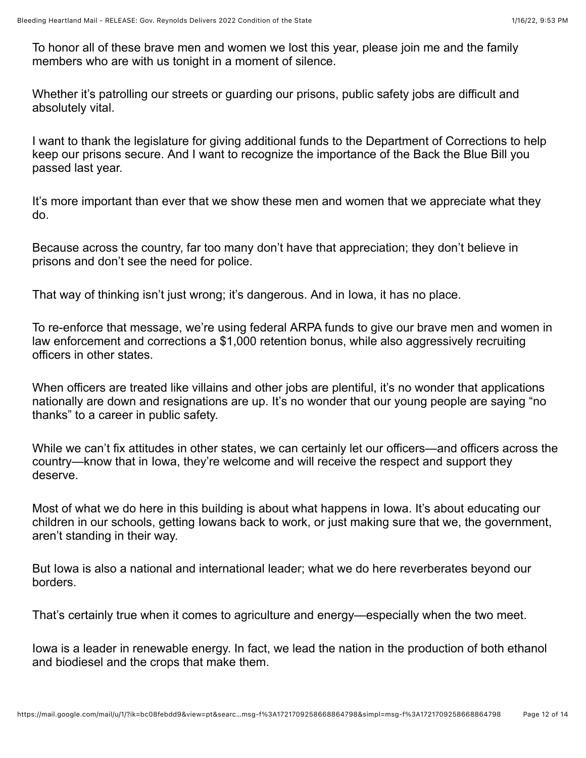To honor all of these brave men and women we lost this year, please join me and the family members who are with us tonight in a moment of silence.

Whether it's patrolling our streets or guarding our prisons, public safety jobs are difficult and absolutely vital.

I want to thank the legislature for giving additional funds to the Department of Corrections to help keep our prisons secure. And I want to recognize the importance of the Back the Blue Bill you passed last year.

It's more important than ever that we show these men and women that we appreciate what they do.

Because across the country, far too many don't have that appreciation; they don't believe in prisons and don't see the need for police.

That way of thinking isn't just wrong; it's dangerous. And in Iowa, it has no place.

To re-enforce that message, we're using federal ARPA funds to give our brave men and women in law enforcement and corrections a \$1,000 retention bonus, while also aggressively recruiting officers in other states.

When officers are treated like villains and other jobs are plentiful, it's no wonder that applications nationally are down and resignations are up. It's no wonder that our young people are saying "no thanks" to a career in public safety.

While we can't fix attitudes in other states, we can certainly let our officers—and officers across the country—know that in Iowa, they're welcome and will receive the respect and support they deserve.

Most of what we do here in this building is about what happens in Iowa. It's about educating our children in our schools, getting Iowans back to work, or just making sure that we, the government, aren't standing in their way.

But Iowa is also a national and international leader; what we do here reverberates beyond our borders.

That's certainly true when it comes to agriculture and energy—especially when the two meet.

Iowa is a leader in renewable energy. In fact, we lead the nation in the production of both ethanol and biodiesel and the crops that make them.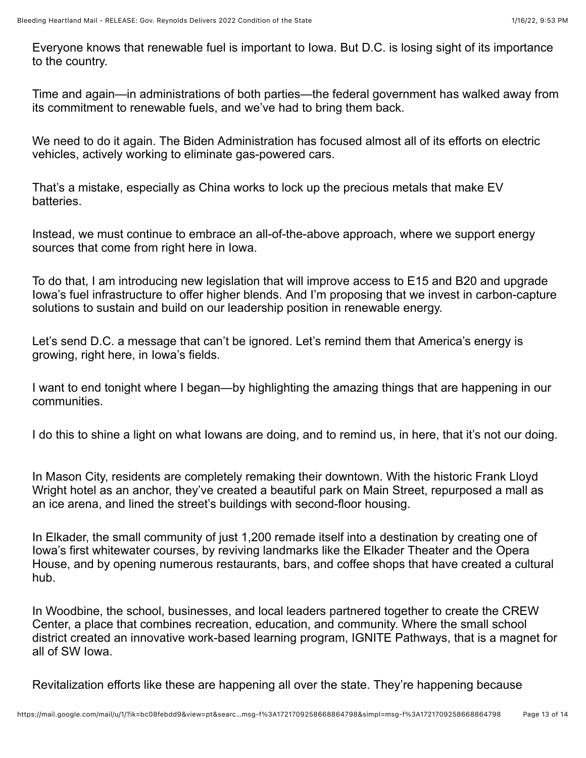Everyone knows that renewable fuel is important to Iowa. But D.C. is losing sight of its importance to the country.

Time and again—in administrations of both parties—the federal government has walked away from its commitment to renewable fuels, and we've had to bring them back.

We need to do it again. The Biden Administration has focused almost all of its efforts on electric vehicles, actively working to eliminate gas-powered cars.

That's a mistake, especially as China works to lock up the precious metals that make EV batteries.

Instead, we must continue to embrace an all-of-the-above approach, where we support energy sources that come from right here in Iowa.

To do that, I am introducing new legislation that will improve access to E15 and B20 and upgrade Iowa's fuel infrastructure to offer higher blends. And I'm proposing that we invest in carbon-capture solutions to sustain and build on our leadership position in renewable energy.

Let's send D.C. a message that can't be ignored. Let's remind them that America's energy is growing, right here, in Iowa's fields.

I want to end tonight where I began—by highlighting the amazing things that are happening in our communities.

I do this to shine a light on what Iowans are doing, and to remind us, in here, that it's not our doing.

In Mason City, residents are completely remaking their downtown. With the historic Frank Lloyd Wright hotel as an anchor, they've created a beautiful park on Main Street, repurposed a mall as an ice arena, and lined the street's buildings with second-floor housing.

In Elkader, the small community of just 1,200 remade itself into a destination by creating one of Iowa's first whitewater courses, by reviving landmarks like the Elkader Theater and the Opera House, and by opening numerous restaurants, bars, and coffee shops that have created a cultural hub.

In Woodbine, the school, businesses, and local leaders partnered together to create the CREW Center, a place that combines recreation, education, and community. Where the small school district created an innovative work-based learning program, IGNITE Pathways, that is a magnet for all of SW Iowa.

Revitalization efforts like these are happening all over the state. They're happening because